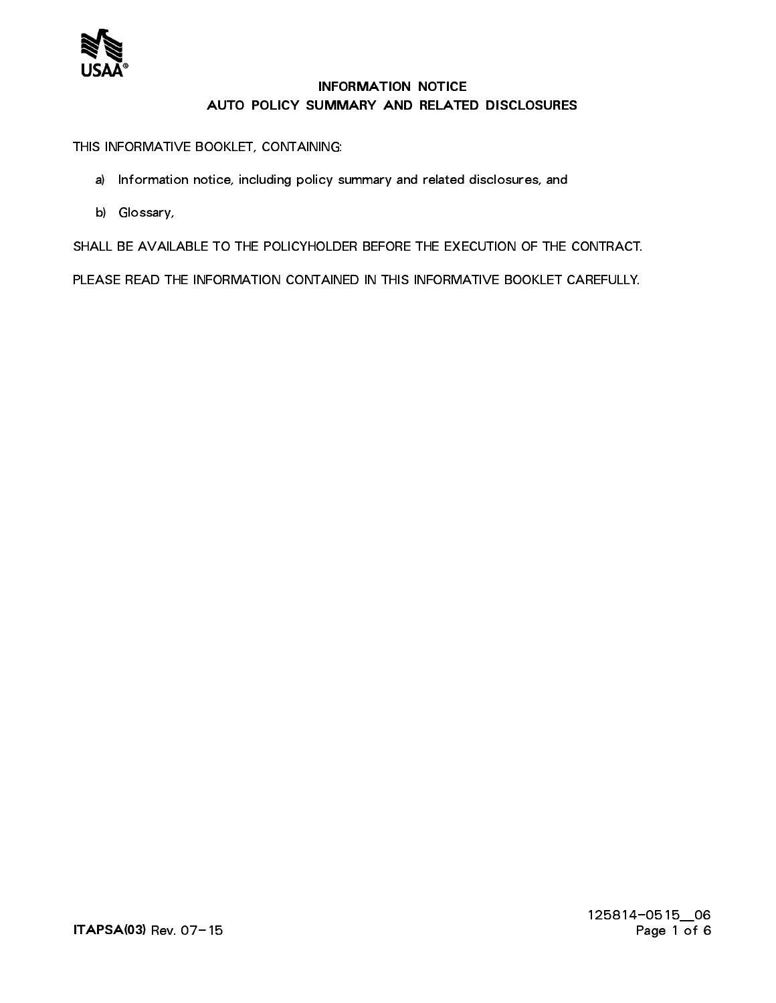

# INFORMATION NOTICE AUTO POLICY SUMMARY AND RELATED DISCLOSURES

THIS INFORMATIVE BOOKLET, CONTAINING:

- a) Information notice, including policy summary and related disclosures, and
- b) Glossary,

SHALL BE AVAILABLE TO THE POLICYHOLDER BEFORE THE EXECUTION OF THE CONTRACT.

PLEASE READ THE INFORMATION CONTAINED IN THIS INFORMATIVE BOOKLET CAREFULLY.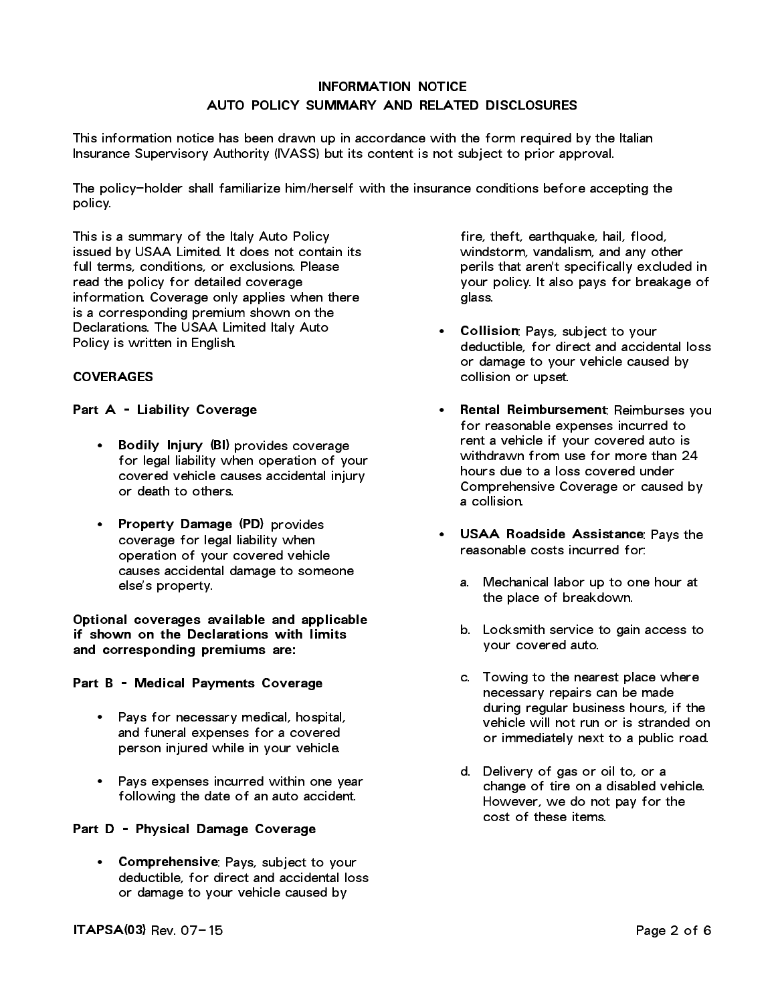# INFORMATION NOTICE AUTO POLICY SUMMARY AND RELATED DISCLOSURES

This information notice has been drawn up in accordance with the form required by the Italian Insurance Supervisory Authority (IVASS) but its content is not subject to prior approval.

The policy-holder shall familiarize him/herself with the insurance conditions before accepting the policy.

This is a summary of the Italy Auto Policy issued by USAA Limited. It does not contain its full terms, conditions, or exclusions. Please read the policy for detailed coverage information. Coverage only applies when there is a corresponding premium shown on the Declarations. The USAA Limited Italy Auto Policy is written in English.

## Part A - Liability Coverage

- Bodily Injury (BI) provides coverage for legal liability when operation of your covered vehicle causes accidental injury or death to others.
- Property Damage (PD) provides coverage for legal liability when operation of your covered vehicle causes accidental damage to someone else's property.

Optional coverages available and applicable if shown on the Declarations with limits and corresponding premiums are:

#### Part B - Medical Payments Coverage

- Pays for necessary medical, hospital, and funeral expenses for a covered person injured while in your vehicle.
- Pays expenses incurred within one year following the date of an auto accident.

## Part D - Physical Damage Coverage

• Comprehensive: Pays, subject to your deductible, for direct and accidental loss or damage to your vehicle caused by

fire, theft, earthquake, hail, flood, windstorm, vandalism, and any other perils that aren't specifically excluded in your policy. It also pays for breakage of glass.

- Collision: Pays, subject to your deductible, for direct and accidental loss or damage to your vehicle caused by **COVERAGES collision or upset.** 
	- Rental Reimbursement: Reimburses you for reasonable expenses incurred to rent a vehicle if your covered auto is withdrawn from use for more than 24 hours due to a loss covered under Comprehensive Coverage or caused by a collision.
	- USAA Roadside Assistance: Pays the reasonable costs incurred for:
		- a. Mechanical labor up to one hour at the place of breakdown.
		- b. Locksmith service to gain access to your covered auto.
		- c. Towing to the nearest place where necessary repairs can be made during regular business hours, if the vehicle will not run or is stranded on or immediately next to a public road.
		- d. Delivery of gas or oil to, or a change of tire on a disabled vehicle. However, we do not pay for the cost of these items.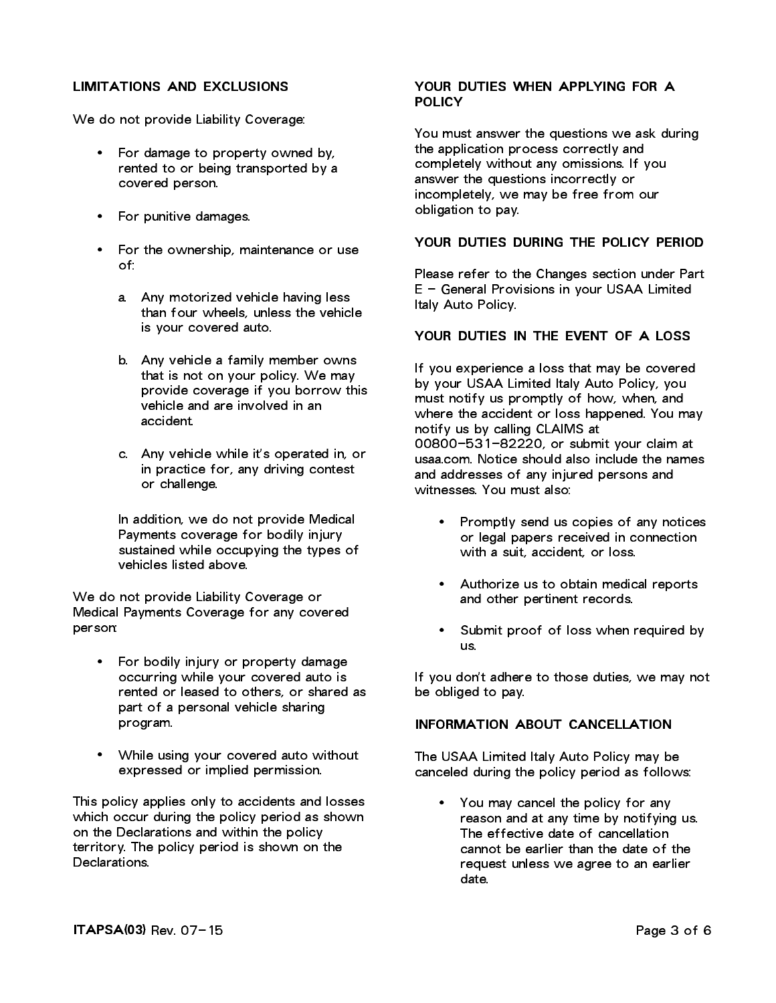We do not provide Liability Coverage:

- For damage to property owned by, rented to or being transported by a covered person.
- For punitive damages.
- For the ownership, maintenance or use
	- a. Any motorized vehicle having less Latter delicit at 1100 than four wheels, unless the vehicle<br>is vour covered auto.
	- b. Any vehicle a family member owns that is not on your policy. We may provide coverage if you borrow this vehicle and are involved in an accident.
	- c. Any vehicle while it's operated in, or in practice for, any driving contest or challenge.

In addition, we do not provide Medical Payments coverage for bodily injury sustained while occupying the types of vehicles listed above.

We do not provide Liability Coverage or and other pertinent records. Medical Payments Coverage for any covered person: **B**  $\bullet$  Submit proof of loss when required by

- For bodily injury or property damage occurring while your covered auto is rented or leased to others, or shared as part of a personal vehicle sharing program.
- While using your covered auto without expressed or implied permission.

This policy applies only to accidents and losses which occur during the policy period as shown on the Declarations and within the policy territory. The policy period is shown on the Declarations.

# LIMITATIONS AND EXCLUSIONS YOUR DUTIES WHEN APPLYING FOR A **POLICY**

You must answer the questions we ask during the application process correctly and completely without any omissions. If you answer the questions incorrectly or incompletely, we may be free from our obligation to pay.

# YOUR DUTIES DURING THE POLICY PERIOD

of: Please refer to the Changes section under Part E - General Provisions in your USAA Limited

## YOUR DUTIES IN THE EVENT OF A LOSS

If you experience a loss that may be covered by your USAA Limited Italy Auto Policy, you must notify us promptly of how, when, and where the accident or loss happened. You may notify us by calling CLAIMS at 00800-531-82220, or submit your claim at usaa.com. Notice should also include the names and addresses of any injured persons and witnesses. You must also:

- Promptly send us copies of any notices or legal papers received in connection with a suit, accident, or loss.
- Authorize us to obtain medical reports
- us.

If you don't adhere to those duties, we may not be obliged to pay.

## INFORMATION ABOUT CANCELLATION

The USAA Limited Italy Auto Policy may be canceled during the policy period as follows:

• You may cancel the policy for any reason and at any time by notifying us. The effective date of cancellation cannot be earlier than the date of the request unless we agree to an earlier date.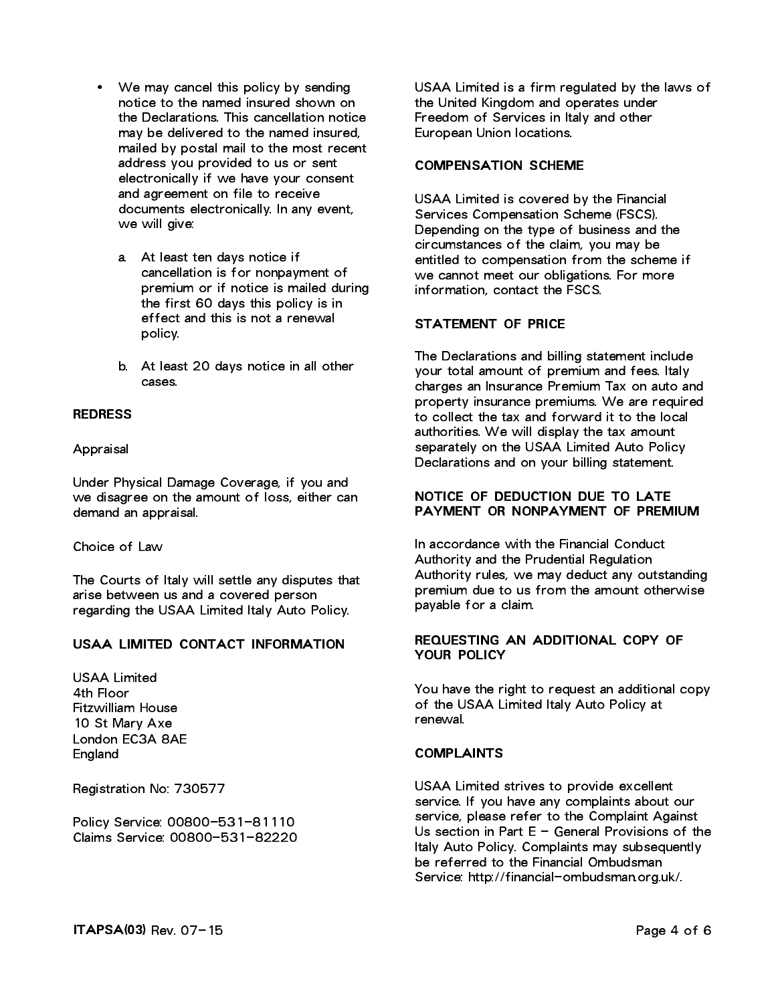- We may cancel this policy by sending notice to the named insured shown on the Declarations. This cancellation notice may be delivered to the named insured, mailed by postal mail to the most recent address you provided to us or sent electronically if we have your consent and agreement on file to receive documents electronically. In any event, we will give:
	- a. At least ten days notice if cancellation is for nonpayment of premium or if notice is mailed during the first 60 days this policy is in effect and this is not a renewal ettect and this is not a renewal **STATEMENT OF PRICE**<br>policy.
	- b. At least 20 days notice in all other cases.

#### REDRESS

#### Appraisal

Under Physical Damage Coverage, if you and we disagree on the amount of loss, either can demand an appraisal.

Choice of Law

The Courts of Italy will settle any disputes that arise between us and a covered person regarding the USAA Limited Italy Auto Policy.

## USAA LIMITED CONTACT INFORMATION

USAA Limited 4th Floor Fitzwilliam House 10 St Mary Axe London EC3A 8AE England COMPLAINTS

Registration No: 730577

Policy Service: 00800-531-81110 Claims Service: 00800-531-82220 USAA Limited is a firm regulated by the laws of the United Kingdom and operates under Freedom of Services in Italy and other European Union locations.

#### COMPENSATION SCHEME

USAA Limited is covered by the Financial Services Compensation Scheme (FSCS). Depending on the type of business and the circumstances of the claim, you may be entitled to compensation from the scheme if we cannot meet our obligations. For more information, contact the FSCS.

The Declarations and billing statement include your total amount of premium and fees. Italy charges an Insurance Premium Tax on auto and property insurance premiums. We are required to collect the tax and forward it to the local authorities. We will display the tax amount separately on the USAA Limited Auto Policy Declarations and on your billing statement.

### NOTICE OF DEDUCTION DUE TO LATE PAYMENT OR NONPAYMENT OF PREMIUM

In accordance with the Financial Conduct Authority and the Prudential Regulation Authority rules, we may deduct any outstanding premium due to us from the amount otherwise payable for a claim.

#### REQUESTING AN ADDITIONAL COPY OF YOUR POLICY

You have the right to request an additional copy of the USAA Limited Italy Auto Policy at renewal.

USAA Limited strives to provide excellent service. If you have any complaints about our service, please refer to the Complaint Against Us section in Part  $E -$  General Provisions of the Italy Auto Policy. Complaints may subsequently be referred to the Financial Ombudsman Service: http://financial-ombudsman.org.uk/.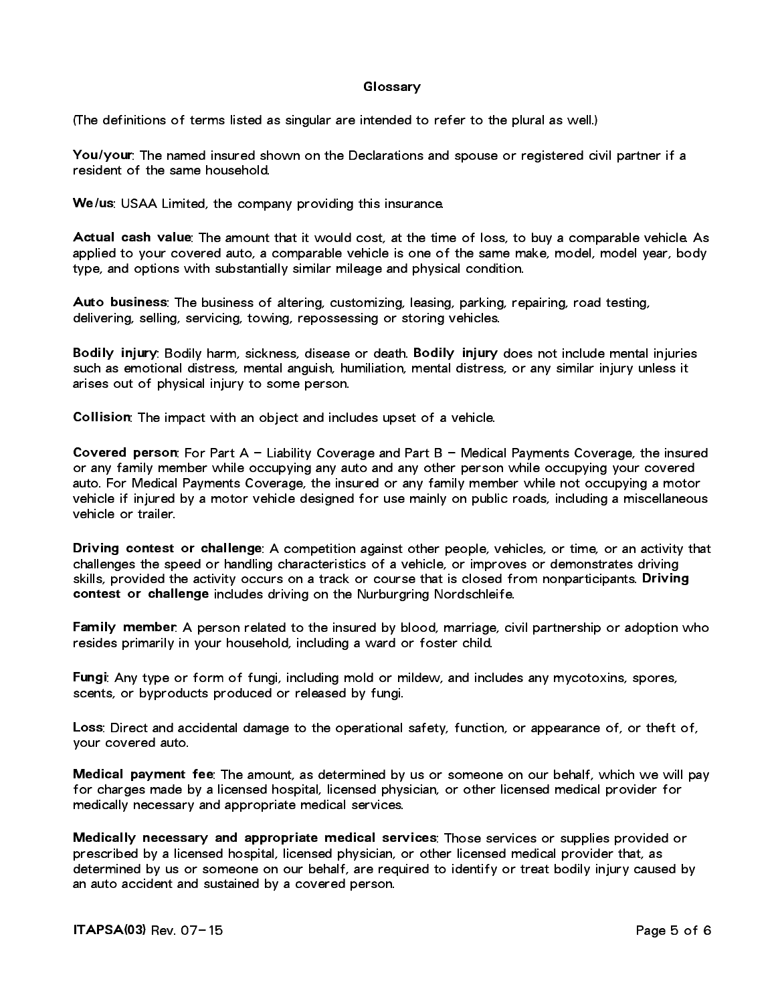#### Glossary

(The definitions of terms listed as singular are intended to refer to the plural as well.)

You/your: The named insured shown on the Declarations and spouse or registered civil partner if a resident of the same household.

We/us: USAA Limited, the company providing this insurance.

Actual cash value: The amount that it would cost, at the time of loss, to buy a comparable vehicle. As applied to your covered auto, a comparable vehicle is one of the same make, model, model year, body type, and options with substantially similar mileage and physical condition.

Auto business: The business of altering, customizing, leasing, parking, repairing, road testing, delivering, selling, servicing, towing, repossessing or storing vehicles.

Bodily injury: Bodily harm, sickness, disease or death. Bodily injury does not include mental injuries such as emotional distress, mental anguish, humiliation, mental distress, or any similar injury unless it arises out of physical injury to some person.

Collision: The impact with an object and includes upset of a vehicle.

Covered person: For Part  $A -$  Liability Coverage and Part  $B -$  Medical Payments Coverage, the insured or any family member while occupying any auto and any other person while occupying your covered auto. For Medical Payments Coverage, the insured or any family member while not occupying a motor vehicle if injured by a motor vehicle designed for use mainly on public roads, including a miscellaneous vehicle or trailer.

Driving contest or challenge: A competition against other people, vehicles, or time, or an activity that challenges the speed or handling characteristics of a vehicle, or improves or demonstrates driving skills, provided the activity occurs on a track or course that is closed from nonparticipants. Driving contest or challenge includes driving on the Nurburgring Nordschleife.

Family member: A person related to the insured by blood, marriage, civil partnership or adoption who resides primarily in your household, including a ward or foster child.

Fungi: Any type or form of fungi, including mold or mildew, and includes any mycotoxins, spores, scents, or byproducts produced or released by fungi.

Loss: Direct and accidental damage to the operational safety, function, or appearance of, or theft of, your covered auto.

Medical payment fee: The amount, as determined by us or someone on our behalf, which we will pay for charges made by a licensed hospital, licensed physician, or other licensed medical provider for medically necessary and appropriate medical services.

Medically necessary and appropriate medical services: Those services or supplies provided or prescribed by a licensed hospital, licensed physician, or other licensed medical provider that, as determined by us or someone on our behalf, are required to identify or treat bodily injury caused by an auto accident and sustained by a covered person.